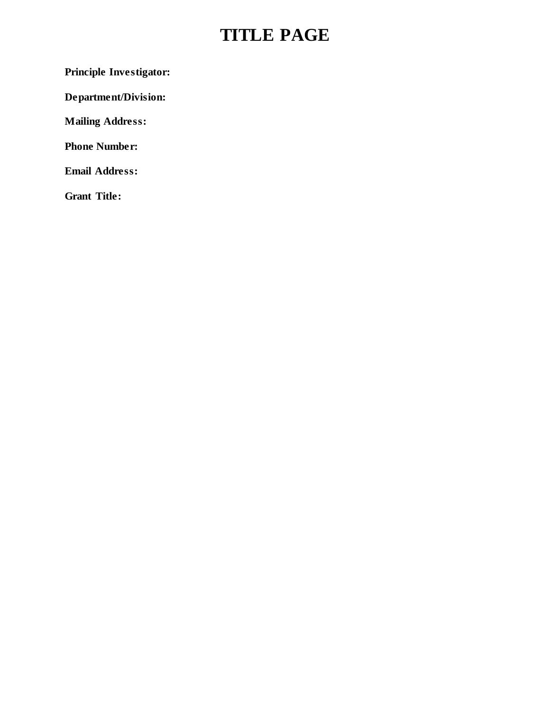## **TITLE PAGE**

**Principle Investigator:**

**Department/Division:**

**Mailing Address:**

**Phone Number:**

**Email Address:**

**Grant Title:**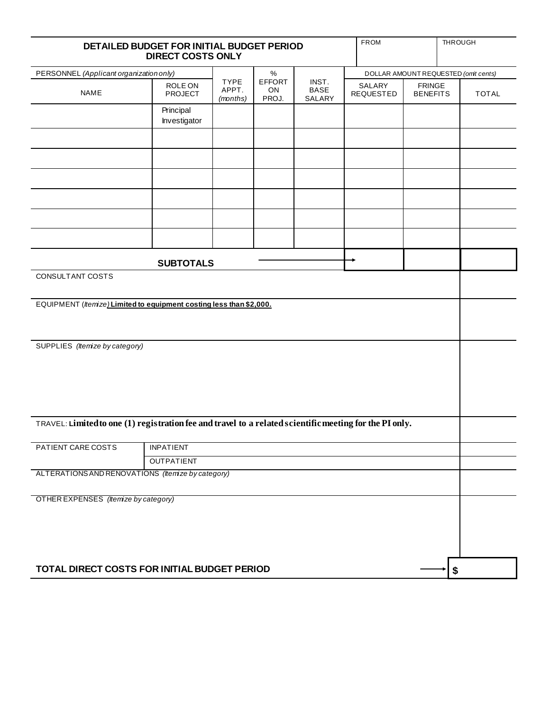| DETAILED BUDGET FOR INITIAL BUDGET PERIOD<br><b>DIRECT COSTS ONLY</b>                                   |                           |                                  |                              |                                | <b>FROM</b>                         |                                  | THROUGH      |
|---------------------------------------------------------------------------------------------------------|---------------------------|----------------------------------|------------------------------|--------------------------------|-------------------------------------|----------------------------------|--------------|
| PERSONNEL (Applicant organization only)                                                                 |                           |                                  | $\%$                         |                                | DOLLAR AMOUNT REQUESTED (omt cents) |                                  |              |
| <b>NAME</b>                                                                                             | ROLE ON<br><b>PROJECT</b> | <b>TYPE</b><br>APPT.<br>(months) | <b>EFFORT</b><br>ON<br>PROJ. | INST.<br><b>BASE</b><br>SALARY | SALARY<br><b>REQUESTED</b>          | <b>FRINGE</b><br><b>BENEFITS</b> | <b>TOTAL</b> |
|                                                                                                         | Principal<br>Investigator |                                  |                              |                                |                                     |                                  |              |
|                                                                                                         |                           |                                  |                              |                                |                                     |                                  |              |
|                                                                                                         |                           |                                  |                              |                                |                                     |                                  |              |
|                                                                                                         |                           |                                  |                              |                                |                                     |                                  |              |
|                                                                                                         |                           |                                  |                              |                                |                                     |                                  |              |
|                                                                                                         |                           |                                  |                              |                                |                                     |                                  |              |
|                                                                                                         | <b>SUBTOTALS</b>          |                                  |                              |                                |                                     |                                  |              |
| CONSULTANT COSTS                                                                                        |                           |                                  |                              |                                |                                     |                                  |              |
| EQUIPMENT ( <i>Itemize</i> ) Limited to equipment costing less than \$2,000.                            |                           |                                  |                              |                                |                                     |                                  |              |
| SUPPLIES (Itemize by category)                                                                          |                           |                                  |                              |                                |                                     |                                  |              |
| TRAVEL: Limited to one (1) registration fee and travel to a related scientific meeting for the PI only. |                           |                                  |                              |                                |                                     |                                  |              |
| PATIENT CARE COSTS                                                                                      | <b>INPATIENT</b>          |                                  |                              |                                |                                     |                                  |              |
|                                                                                                         | <b>OUTPATIENT</b>         |                                  |                              |                                |                                     |                                  |              |
| ALTERATIONS AND RENOVATIONS (Itemize by category)                                                       |                           |                                  |                              |                                |                                     |                                  |              |
| OTHER EXPENSES (Itemize by category)                                                                    |                           |                                  |                              |                                |                                     |                                  |              |
| TOTAL DIRECT COSTS FOR INITIAL BUDGET PERIOD                                                            |                           |                                  |                              |                                |                                     |                                  | \$           |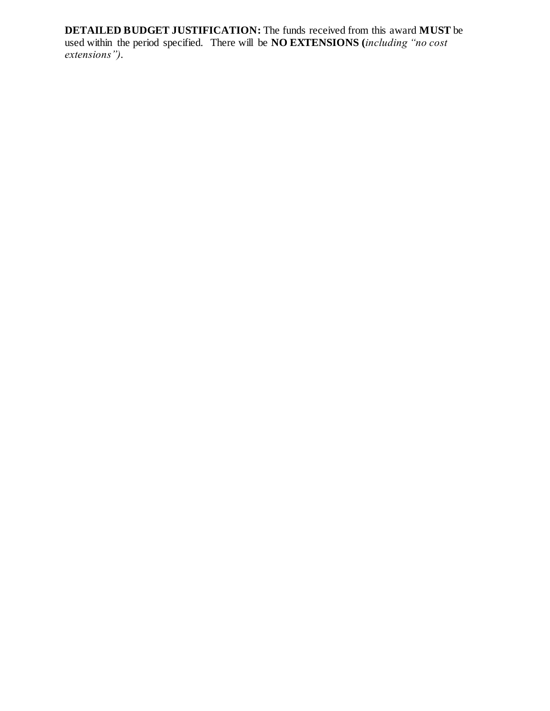**DETAILED BUDGET JUSTIFICATION:** The funds received from this award **MUST** be used within the period specified. There will be **NO EXTENSIONS (***including "no cost extensions").*